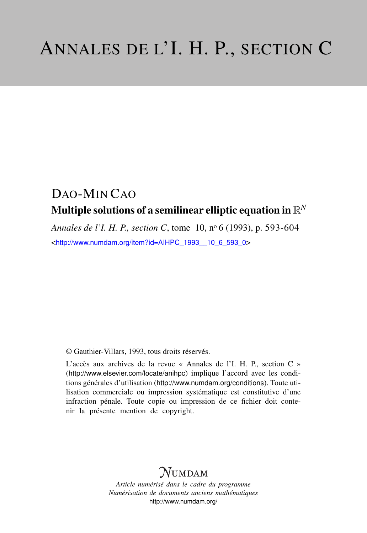# DAO-MIN CAO Multiple solutions of a semilinear elliptic equation in  $\mathbb{R}^N$

*Annales de l'I. H. P., section C*, tome 10, n<sup>o</sup> 6 (1993), p. 593-604 <[http://www.numdam.org/item?id=AIHPC\\_1993\\_\\_10\\_6\\_593\\_0](http://www.numdam.org/item?id=AIHPC_1993__10_6_593_0)>

© Gauthier-Villars, 1993, tous droits réservés.

L'accès aux archives de la revue « Annales de l'I. H. P., section C » (<http://www.elsevier.com/locate/anihpc>) implique l'accord avec les conditions générales d'utilisation (<http://www.numdam.org/conditions>). Toute utilisation commerciale ou impression systématique est constitutive d'une infraction pénale. Toute copie ou impression de ce fichier doit contenir la présente mention de copyright.

# **NUMDAM**

*Article numérisé dans le cadre du programme Numérisation de documents anciens mathématiques* <http://www.numdam.org/>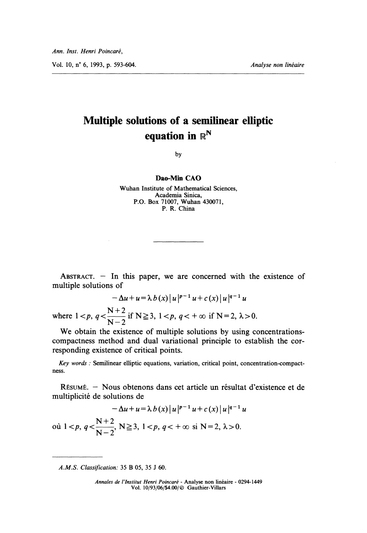# Multiple solutions of a semilinear elliptic equation in  $\mathbb{R}^N$

by

#### Dao-Min CAO

Wuhan Institute of Mathematical Sciences, Academia Sinica, P.O. Box 71007, Wuhan 430071, P. R. China

ABSTRACT.  $-$  In this paper, we are concerned with the existence of multiple solutions of

$$
-\Delta u + u = \lambda b(x) |u|^{p-1} u + c(x) |u|^{q-1} u
$$
  
where  $1 < p, q < \frac{N+2}{N-2}$  if  $N \ge 3, 1 < p, q < +\infty$  if  $N = 2, \lambda > 0$ .

We obtain the existence of multiple solutions by using concentrationscompactness method and dual variational principle to establish the corresponding existence of critical points.

Key words : Semilinear elliptic equations, variation, critical point, concentration-compact ness.

RESUME. - Nous obtenons dans cet article un résultat d'existence et de multiplicite de solutions de

 $-\Delta u + u = \lambda b(x) |u|^{p-1} u + c(x) |u|^{q-1} u$ où  $1 < p$ ,  $q < \frac{N+2}{N-2}$ ,  $N \ge 3$ ,  $1 < p$ ,  $q < +\infty$  si  $N = 2$ ,  $\lambda > 0$ .

A.M.S. Classification: 35 B 05, 35 J 60.

Annales de I'Institut Henri Poincaré - Analyse non linéaire - 0294-1449 Vol. 10/93/06/\$4.00/6 Gauthier-Villars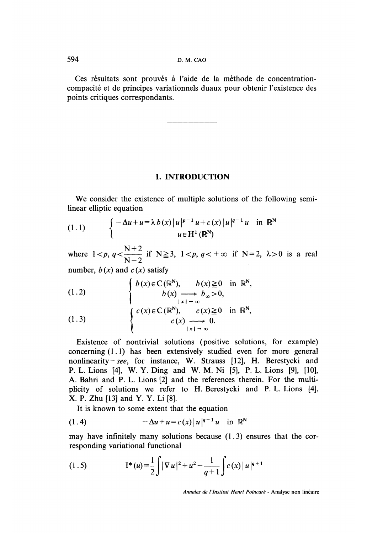Ces résultats sont prouvés à l'aide de la méthode de concentrationcompacite et de principes variationnels duaux pour obtenir l'existence des points critiques correspondants.

### 1. INTRODUCTION

We consider the existence of multiple solutions of the following semilinear elliptic equation

(1.1) 
$$
\begin{cases} -\Delta u + u = \lambda b(x) |u|^{p-1} u + c(x) |u|^{q-1} u & \text{in } \mathbb{R}^N \\ u \in H^1(\mathbb{R}^N) \end{cases}
$$

where  $1 < p$ ,  $q < \frac{N+2}{N-2}$  if  $N \ge 3$ ,  $1 < p$ ,  $q < +\infty$  if  $N = 2$ ,  $\lambda > 0$  is a real number,  $b(x)$  and  $c(x)$  satisfy

(1.2) 
$$
\begin{cases} b(x) \in C(\mathbb{R}^{N}), & b(x) \ge 0 \text{ in } \mathbb{R}^{N}, \\ b(x) \longrightarrow b_{\infty} > 0, \\ c(x) \in C(\mathbb{R}^{N}), & c(x) \ge 0 \text{ in } \mathbb{R}^{N}, \end{cases}
$$

(1.3) 
$$
\begin{cases} c(x) \in C(\mathbb{R}^{N}), & c(x) \geq 0 \text{ in } \mathbb{R}^{N} \\ c(x) \longrightarrow 0. & \vert x \vert \to \infty \end{cases}
$$

Existence of nontrivial solutions (positive solutions, for example) concerning (1.1) has been extensively studied even for more general nonlinearity-see, for instance, W. Strauss  $[12]$ , H. Berestycki and P. L. Lions [4], W. Y. Ding and W. M. Ni [5], P. L. Lions [9], [10], A. Bahri and P. L. Lions [2] and the references therein. For the multiplicity of solutions we refer to H. Berestycki and P. L. Lions [4], X. P. Zhu [13] and Y. Y. Li [8].

It is known to some extent that the equation

(1.4) 
$$
-\Delta u + u = c(x) |u|^{q-1} u \text{ in } \mathbb{R}^N
$$

may have infinitely many solutions because  $(1.3)$  ensures that the corresponding variational functional

(1.5) 
$$
\mathbf{I}^*(u) = \frac{1}{2} \int |\nabla u|^2 + u^2 - \frac{1}{q+1} \int c(x) |u|^{q+1}
$$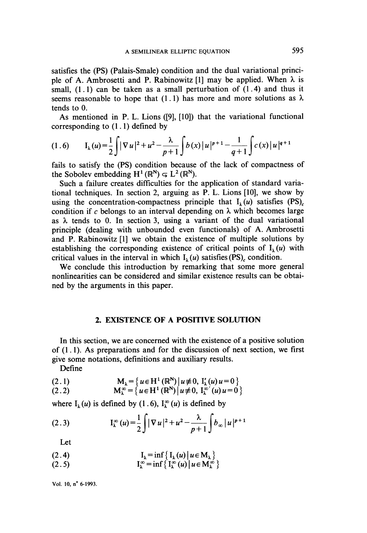satisfies the (PS) (Palais-Smale) condition and the dual variational principle of A. Ambrosetti and P. Rabinowitz [1] may be applied. When  $\lambda$  is small,  $(1.1)$  can be taken as a small perturbation of  $(1.4)$  and thus it seems reasonable to hope that (1.1) has more and more solutions as  $\lambda$ tends to 0.

As mentioned in P. L. Lions ([9], [10]) that the variational functional corresponding to  $(1.1)$  defined by

$$
(1.6) \qquad I_{\lambda}(u) = \frac{1}{2} \int |\nabla u|^2 + u^2 - \frac{\lambda}{p+1} \int b(x) |u|^{p+1} - \frac{1}{q+1} \int c(x) |u|^{q+1}
$$

fails to satisfy the (PS) condition because of the lack of compactness of the Sobolev embedding  $H^1(\mathbb{R}^N) \subseteq L^2(\mathbb{R}^N)$ .

Such a failure creates difficulties for the application of standard variational techniques. In section 2, arguing as P. L. Lions [10], we show by using the concentration-compactness principle that  $I_1(u)$  satisfies (PS). condition if c belongs to an interval depending on  $\lambda$  which becomes large as  $\lambda$  tends to 0. In section 3, using a variant of the dual variational principle (dealing with unbounded even functionals) of A. Ambrosetti and P. Rabinowitz [1] we obtain the existence of multiple solutions by establishing the corresponding existence of critical points of  $I_1(u)$  with critical values in the interval in which  $I_1(u)$  satisfies (PS), condition.

We conclude this introduction by remarking that some more general nonlinearities can be considered and similar existence results can be obtained by the arguments in this paper.

## 2. EXISTENCE OF A POSITIVE SOLUTION

In this section, we are concerned with the existence of a positive solution of  $(1, 1)$ . As preparations and for the discussion of next section, we first give some notations, definitions and auxiliary results.

Define

(2.1) 
$$
M_{\lambda} = \{u \in H^{1}(\mathbb{R}^{N}) | u \neq 0, I'_{\lambda}(u) u = 0 \}
$$

(2.2) 
$$
M_{\lambda}^{\infty} = \{u \in H^{1}(\mathbb{R}^{N}) | u \neq 0, I_{\lambda}^{\infty}(u) u = 0 \}
$$

where  $I_1(u)$  is defined by (1.6),  $I_{\lambda}^{\infty}(u)$  is defined by

(2.3) 
$$
\mathcal{I}_{\lambda}^{\infty}(u) = \frac{1}{2} \int |\nabla u|^2 + u^2 - \frac{\lambda}{p+1} \int b_{\infty} |u|^{p+1}
$$

Let

$$
\mathbf{I}_{\lambda} = \inf \{ \mathbf{I}_{\lambda}(u) \mid u \in \mathbf{M}_{\lambda} \}
$$

 $I_{\lambda}^{\infty}$  = inf {  $I_{\lambda}^{\infty} (u) | u \in M_{\lambda}^{\infty}$  }  $(2.5)$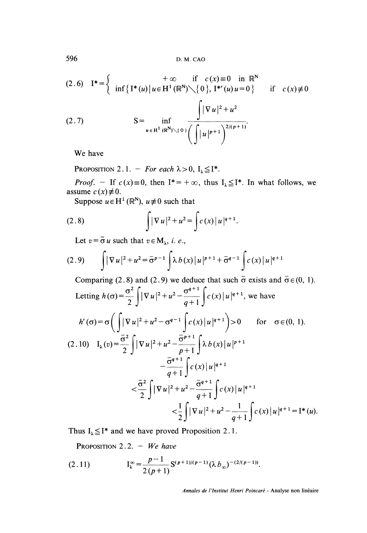596 D. M. CAO

$$
(2.6) \quad I^* = \begin{cases} \n+ \infty & \text{if } c(x) \equiv 0 \quad \text{in } \mathbb{R}^N \\ \n\inf \{ I^*(u) \mid u \in H^1(\mathbb{R}^N) \diagdown\{0\}, I^{*(u)}(u) = 0 \} \n\end{cases} \quad \text{if } c(x) \not\equiv 0
$$

(2.7) 
$$
S = \inf_{u \in H^{1}(\mathbb{R}^{N}) \setminus \{0\}} \frac{\int |\nabla u|^{2} + u^{2}}{\left(\int |u|^{p+1}\right)^{2/(p+1)}}.
$$

We have

PROPOSITION 2.1. - For each  $\lambda > 0$ ,  $I_{\lambda} \leq I^*$ .

*Proof.* - If  $c(x) \equiv 0$ , then  $I^* = +\infty$ , thus  $I_{\lambda} \leq I^*$ . In what follows, we assume  $c(x) \neq 0$ .

Suppose  $u \in H^1(\mathbb{R}^N)$ ,  $u \neq 0$  such that

(2.8) 
$$
\int |\nabla u|^2 + u^2 = \int c(x) |u|^{q+1}.
$$

Let  $v = \overline{\sigma} u$  such that  $v \in M_{\lambda}$ , *i. e.*,

(2.9) 
$$
\int |\nabla u|^2 + u^2 = \bar{\sigma}^{p-1} \int \lambda b(x) |u|^{p+1} + \bar{\sigma}^{q-1} \int c(x) |u|^{q+1}
$$

Comparing (2.8) and (2.9) we deduce that such  $\bar{\sigma}$  exists and  $\bar{\sigma} \in (0, 1)$ .

Letting 
$$
h(\sigma) = \frac{1}{2} \int |\nabla u|^2 + u^2 - \frac{1}{q+1} \int c(x) |u|^{q+1}
$$
, we have  
\n
$$
h'(\sigma) = \sigma \left( \int |\nabla u|^2 + u^2 - \sigma^{q-1} \int c(x) |u|^{q+1} \right) > 0 \quad \text{for } \sigma \in (0, 1).
$$
\n(2.10) 
$$
I_{\lambda}(v) = \frac{\sigma^2}{2} \int |\nabla u|^2 + u^2 - \frac{\sigma^{p+1}}{p+1} \int \lambda b(x) |u|^{p+1} - \frac{\sigma^{q+1}}{q+1} \int c(x) |u|^{q+1} - \frac{\sigma^{q+1}}{q+1} \int c(x) |u|^{q+1} - \frac{\sigma^{q+1}}{q+1} \int c(x) |u|^{q+1} - \frac{1}{q+1} \int c(x) |u|^{q+1} = I^*(u)
$$

Thus  $I_{\lambda} \leq I^*$  and we have proved Proposition 2.1.

PROPOSITION 2.2. - We have

(2.11) 
$$
I_{\lambda}^{\infty} = \frac{p-1}{2(p+1)} S^{(p+1)/(p-1)} (\lambda b_{\infty})^{-(2/(p-1))}.
$$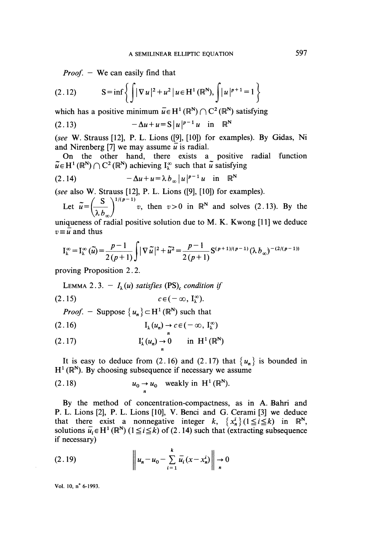*Proof.*  $-$  We can easily find that

(2.12) 
$$
S = \inf \left\{ \int |\nabla u|^2 + u^2 | u \in H^1(\mathbb{R}^N), \int |u|^{p+1} = 1 \right\}
$$

which has a positive minimum  $\bar{u} \in H^1(\mathbb{R}^N) \cap C^2(\mathbb{R}^N)$  satisfying

(2.13) 
$$
-\Delta u + u = S |u|^{p-1} u \text{ in } \mathbb{R}^N
$$

(see W. Strauss [12], P. L. Lions ([9], [10]) for examples). By Gidas, Ni and Nirenberg [7] we may assume  $\overline{u}$  is radial.

On the other hand, there exists a positive radial function  $\tilde{u} \in H^1(\mathbb{R}^N) \cap C^2(\mathbb{R}^N)$  achieving  $I_1^{\infty}$  such that  $\tilde{u}$  satisfying

$$
(2.14) \t-\Delta u + u = \lambda b_{\infty} |u|^{p-1} u \quad \text{in} \quad \mathbb{R}^n
$$

(see also W. Strauss [12], P. L. Lions ([9], [10]) for examples).

Let  $\tilde{u} = \left(\frac{S}{\lambda b_m}\right)^{1/(p-1)}$  v, then  $v > 0$  in  $\mathbb{R}^N$  and solves (2.13). By the

uniqueness of radial positive solution due to M. K. Kwong [11] we deduce  $v \equiv \overline{u}$  and thus

$$
I_{\lambda}^{\infty} = I_{\lambda}^{\infty}(\tilde{u}) = \frac{p-1}{2(p+1)} \int |\nabla \tilde{u}|^2 + \tilde{u}^2 = \frac{p-1}{2(p+1)} S^{(p+1)/(p-1)} (\lambda b_{\infty})^{-(2/(p-1))}
$$

proving Proposition 2. 2.

LEMMA 2.3. -  $I_1(u)$  satisfies (PS)<sub>c</sub> condition if

$$
(2.15) \t\t\t c \in (-\infty, I_{\lambda}^{\infty}).
$$

*Proof.* - Suppose 
$$
\{u_n\}
$$
  $\subset$   $H^1(\mathbb{R}^N)$  such that

$$
(2.16) \t\t\t I_{\lambda}(u_{n}) \to c \in (-\infty, I_{\lambda}^{\infty})
$$

$$
(2.17) \tI'_{\lambda}(u_n) \to 0 \t in H^1(\mathbb{R}^N)
$$

It is easy to deduce from (2.16) and (2.17) that  $\{u_n\}$  is bounded in  $H^1(\mathbb{R}^N)$ . By choosing subsequence if necessary we assume

(2.18) 
$$
u_0 \rightarrow u_0
$$
 weakly in H<sup>1</sup> (R<sup>N</sup>).

By the method of concentration-compactness, as in A. Bahri and P. L. Lions [2], P. L. Lions [10], V. Benci and G..Cerami [3] we deduce that there exist a nonnegative integer  $k$ ,  $\{x_n^i\}$  ( $1 \le i \le k$ ) in  $\mathbb{R}^N$ , solutions  $\overline{u_i} \in H^1(\mathbb{R}^N)$  ( $1 \le i \le k$ ) of (2.14) such that (extracting subsequence if necessary)

(2.19) 
$$
\left\| u_n - u_0 - \sum_{i=1}^k \overline{u}_i (x - x_n^i) \right\| \to 0
$$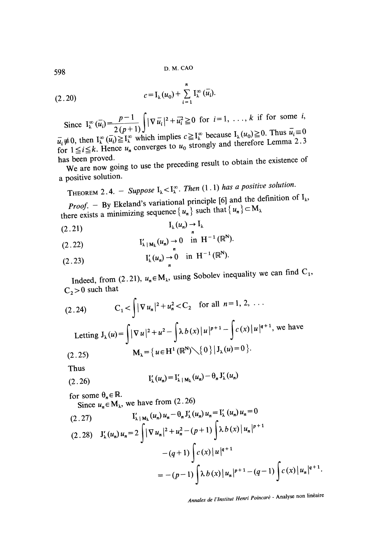(2.20) 
$$
c = I_{\lambda}(u_0) + \sum_{i=1}^{n} I_{\lambda}^{\infty}(\bar{u}_i).
$$

ince  $I_{\lambda}^{\infty} (\bar{u}_i) = \frac{p-1}{2(p+1)} \int |\nabla \bar{u}_i|^2 + \bar{u}_i^2 \ge 0$  for  $i = 1, \ldots, k$  if for some  $i$ ,<br> $I_{\lambda} \ge 0$ . Thus  $\bar{u}_i \equiv 0$  $\vec{u}_i \neq 0$ , then  $I_{\lambda}^{\infty} (\vec{u}_i) \geq I_{\lambda}^{\infty}$  which implies  $c \geq I_{\lambda}^{\infty}$  because  $I_{\lambda}(u_0) \geq 0$ . Thus  $\vec{u}_i \equiv 0$ 

for  $1 \le i \le k$ . Hence  $u_n$  converges to  $u_0$  strongly and therefore Lemma 2.3<br>has been proved.

s been proved.<br>We are now going to use the preceding result to obtain the existence of a positive solution.

THEOREM 2.4. – Suppose 
$$
I_{\lambda} < I_{\lambda}^{\infty}
$$
. Then (1.1) has a positive solution.

**Proof.** - By Ekeland's variational principle [6] and the definition of  $I_{\lambda}$ ,  $P_{\lambda}$ **Proof.** - By Exerand's variational posterior  $\{u_n\}$  such that  $\{u_n\} \subset M_\lambda$ 

$$
\mathcal{I}_{\lambda}(u_n) \to \mathcal{I}_{\lambda}
$$
\n
$$
(2.21)
$$

$$
(2.22) \t\t\t I'_{\lambda|M_{\lambda}}(u_n) \to 0 \t in H^{-1}(\mathbb{R}^N).
$$

(2.23) 
$$
I'_{\lambda}(u_{n}) \to 0 \text{ in } H^{-1}(\mathbb{R}^{N}).
$$

Indeed, from (2.21),  $u_n \in M_\lambda$ , using Sobolev inequality we can find C<sub>1</sub>,  $C_2 > 0$  such that

(2.24) 
$$
C_1 < \int |\nabla u_n|^2 + u_n^2 < C_2 \text{ for all } n = 1, 2, ...
$$

Letting 
$$
J_{\lambda}(u) = \int |\nabla u|^2 + u^2 - \int \lambda b(x) |u|^{p+1} - \int c(x) |u|^{q-2}, \text{ we have}
$$
  
(2.25) 
$$
M_{\lambda} = \{u \in H^1(\mathbb{R}^N) \setminus \{0\} | J_{\lambda}(u) = 0 \}.
$$

rhus

(2.26) 
$$
I'_{\lambda}(u_{n}) = I'_{\lambda|M_{\lambda}}(u_{n}) - \theta_{n} J'_{\lambda}(u_{n})
$$

for some  $\theta_n \in \mathbb{R}$ .

Since  $u_n \in M_\lambda$ , we have from (2.26)

(2.27) 
$$
I'_{\lambda | M_{\lambda}}(u_n) u_n - \theta_n J'_{\lambda}(u_n) u_n = I'_{\lambda}(u_n) u_n = 0
$$

$$
(2.28) \quad J'_{\lambda}(u_n) u_n = 2 \int |\nabla u_n|^2 + u_n^2 - (p+1) \int \lambda b(x) |u_n|^{p+1}
$$

$$
- (q+1) \int c(x) |u|^{q+1}
$$

$$
= -(p-1) \int \lambda b(x) |u_n|^{p+1} - (q-1) \int c(x) |u_n|^{q+1}.
$$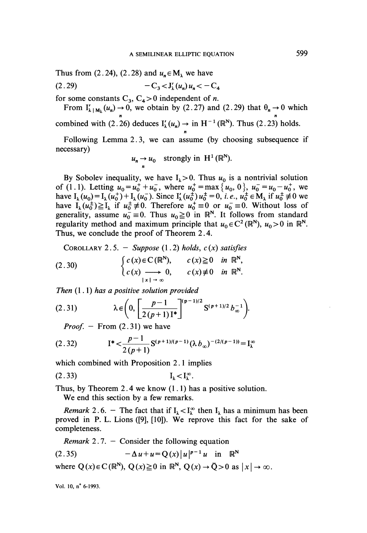Thus from (2.24), (2.28) and  $u_n \in M_1$  we have

 $(2.29)$  $-C_3 < J'_1(u_a)u_a < -C_4$ 

for some constants  $C_3$ ,  $C_4 > 0$  independent of *n*.

From  $I'_{\lambda | M_{\lambda}}(u_n) \to 0$ , we obtain by (2.27) and (2.29) that  $\theta_n \to 0$  which n n combined with (2.26) deduces  $I'_{\lambda}(u_n) \to \text{in } H^{-1}(\mathbb{R}^N)$ . Thus (2.23) holds.

n Following Lemma 2. 3, we can assume (by choosing subsequence if necessary)

$$
u_n \to u_0
$$
 strongly in  $H^1(\mathbb{R}^N)$ .

By Sobolev inequality, we have  $I_{\lambda} > 0$ . Thus  $u_0$  is a nontrivial solution of (1.1). Letting  $u_0 = u_0^+ + u_0^-$ , where  $u_0^+ = \max\{u_0, 0\}$ ,  $u_0^- = u_0 - u_0^+$ , we have  $I_{\lambda}(u_0) = I_{\lambda}(u_0^+) + I_{\lambda}(u_0^-)$ . Since  $I'_{\lambda}(u_0^+) u_0^+ = 0$ , *i.e.*,  $u_0^+ \in M_{\lambda}$  if  $u_0^+ \neq 0$  we have  $I_{\lambda}(u_0^+) \geq I_{\lambda}(u_0^+)$ . Therefore  $u_0^+ = 0$  as  $u_0^- = 0$ . Without less of have  $I_{\lambda}(u_0^{\perp}) \ge I_{\lambda}$  if  $u_0^{\perp} \ne 0$ . Therefore  $u_0^{\perp} \equiv 0$  or  $u_0^{\perp} \equiv 0$ . Without loss of generality, assume  $u_0 = 0$ . Thus  $u_0 \ge 0$  in  $\mathbb{R}^N$ . It follows from standard regularity method and maximum principle that  $u_0 \in C^2(\mathbb{R}^N)$ ,  $u_0 > 0$  in  $\mathbb{R}^N$ . Thus, we conclude the proof of Theorem 2.4.

COROLLARY 2.5. - Suppose (1.2) holds,  $c(x)$  satisfies

(2.30) 
$$
\begin{cases} c(x) \in C(\mathbb{R}^{N}), & c(x) \geq 0 \text{ in } \mathbb{R}^{N}, \\ c(x) \longrightarrow 0, & c(x) \neq 0 \text{ in } \mathbb{R}^{N}. \end{cases}
$$

Then  $(1.1)$  has a positive solution provided

(2.31) 
$$
\lambda \in \left(0, \left[\frac{p-1}{2(p+1)I^*}\right]^{(p-1)/2} S^{(p+1)/2} b_{\infty}^{-1}\right).
$$

*Proof.*  $-$  From  $(2.31)$  we have

$$
(2.32) \tI^* < \frac{p-1}{2(p+1)} S^{(p+1)/(p-1)} (\lambda b_{\infty})^{-(2/(p-1))} = I_{\lambda}^{\infty}
$$

which combined with Proposition 2.1 implies

$$
(2.33) \t\t\t I_{\lambda}
$$

Thus, by Theorem 2.4 we know  $(1.1)$  has a positive solution. We end this section by a few remarks.

*Remark* 2.6. - The fact that if  $I_{\lambda} < I_{\lambda}^{\infty}$  then  $I_{\lambda}$  has a minimum has been proved in P. L. Lions ([9], [10]). We reprove this fact for the sake of completeness.

*Remark* 2.7. - Consider the following equation

(2.35) 
$$
-\Delta u + u = Q(x) |u|^{p-1} u \text{ in } \mathbb{R}^N
$$

where  $Q(x) \in C(\mathbb{R}^N)$ ,  $Q(x) \ge 0$  in  $\mathbb{R}^N$ ,  $Q(x) \rightarrow \overline{Q} > 0$  as  $|x| \rightarrow \infty$ .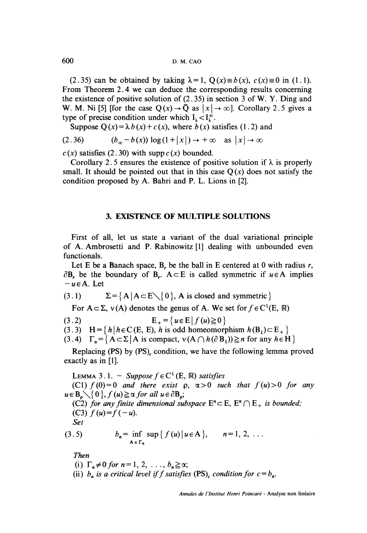(2.35) can be obtained by taking  $\lambda = 1$ ,  $Q(x) \equiv b(x)$ ,  $c(x) \equiv 0$  in (1.1). From Theorem 2.4 we can deduce the corresponding results concerning the existence of positive solution of (2.35) in section 3 of W. Y. Ding and W. M. Ni [5] [for the case  $O(x) \rightarrow \overline{O}$  as  $|x| \rightarrow \infty$ ]. Corollary 2.5 gives a type of precise condition under which  $I_1 < I_1^{\infty}$ .

Suppose  $O(x) = \lambda b(x) + c(x)$ , where  $b(x)$  satisfies (1.2) and

$$
(2.36) \qquad (b_{\infty} - b(x)) \log(1+|x|) \to +\infty \quad \text{as } |x| \to \infty
$$

 $c(x)$  satisfies (2.30) with supp  $c(x)$  bounded.

Corollary 2.5 ensures the existence of positive solution if  $\lambda$  is properly small. It should be pointed out that in this case  $Q(x)$  does not satisfy the condition proposed by A. Bahri and P. L. Lions in [2].

### 3. EXISTENCE. OF MULTIPLE SOLUTIONS

First of all, let us state a variant of the dual variational principle of A. Ambrosetti and P. Rabinowitz [1] dealing with unbounded even functionals.

Let E be a Banach space, B, be the ball in E centered at 0 with radius  $r$ ,  $\partial$ B<sub>r</sub> be the boundary of B<sub>r</sub>. A  $\subset$  E is called symmetric if  $u \in A$  implies  $-u \in A$ . Let

(3.1) 
$$
\Sigma = \{ A | A \subset E \setminus \{ 0 \}, A \text{ is closed and symmetric } \}
$$

For  $A \subset \Sigma$ ,  $v(A)$  denotes the genus of A. We set for  $f \in C^1(E, \mathbb{R})$ 

 $E_{+} = \{ u \in E \mid f(u) \ge 0 \}$  $(3.2)$ 

(3.3) H =  $\{h \mid h \in C(E, E), h \text{ is odd homeomorphism } h(B_1) \subset E_+\}$ 

(3.4)  $\Gamma_n = \{ A \subset \Sigma | A \text{ is compact}, v (A \cap h (\partial B_1)) \geq n \text{ for any } h \in H \}$ 

Replacing (PS) by (PS), condition, we have the following lemma proved exactly as in  $[1]$ .

LEMMA 3.1. - Suppose  $f \in C^1(E, \mathbb{R})$  satisfies (C1)  $f(0)=0$  and there exist  $\rho$ ,  $\alpha>0$  such that  $f(u) > 0$  for any  $u \in B_0 \setminus \{0\}, f(u) \ge \alpha$  for all  $u \in \partial B_0$ ; (C2) for any finite dimensional subspace  $E<sup>n</sup> \subset E$ ,  $E<sup>n</sup> \cap E<sub>+</sub>$  is bounded; (C3)  $f(u)=f(-u)$ . Set

(3.5) 
$$
b_n = \inf_{A \in \Gamma_n} \sup \{ f(u) | u \in A \}, \qquad n = 1, 2, ...
$$

Then

(i).  $\Gamma_n \neq 0$  for  $n = 1, 2, \ldots, b_n \geq \alpha;$ 

(ii)  $b_n$  is a critical level if f satisfies (PS)<sub>c</sub> condition for  $c = b_n$ .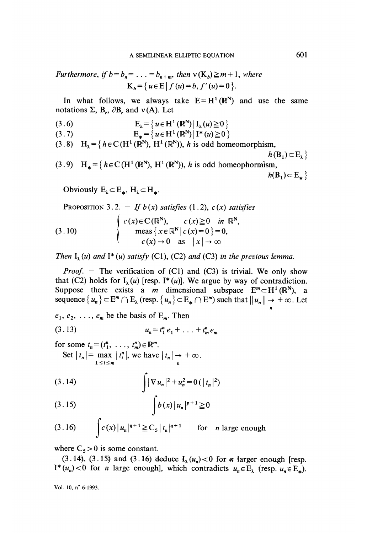Furthermore, if 
$$
b = b_n = ... = b_{n+m}
$$
, then  $v(K_b) \ge m+1$ , where  
 $K_b = \{u \in E | f(u) = b, f'(u) = 0\}.$ 

In what follows, we always take  $E = H^1(\mathbb{R}^N)$  and use the same notations  $\Sigma$ , B<sub>r</sub>,  $\partial$ B<sub>r</sub> and v(A). Let

(3.6) 
$$
E_{\lambda} = \{u \in H^1(\mathbb{R}^N) | I_{\lambda}(u) \geq 0 \}
$$

(3.7) 
$$
E_* = \{u \in H^1(\mathbb{R}^N) | I^*(u) \ge 0 \}
$$

(3.8) 
$$
H_{\lambda} = \{ h \in C(H^1(\mathbb{R}^N), H^1(\mathbb{R}^N)), h \text{ is odd homeomorphism,}
$$

(3.9)  $H_* = {heC(H^1(\mathbb{R}^N), H^1(\mathbb{R}^N))}, h \text{ is odd homeophormism},$ <br> $h(B_1) \subset E_*$ 

Obviously  $E_{\lambda} \subset E_{\star}$ ,  $H_{\lambda} \subset H_{\star}$ .

PROPOSITION 3.2. - If 
$$
b(x)
$$
 satisfies (1.2),  $c(x)$  satisfies  
\n
$$
\begin{cases}\nc(x) \in C(\mathbb{R}^N), & c(x) \ge 0 \text{ in } \mathbb{R}^N, \\
meas \{x \in \mathbb{R}^N | c(x) = 0 \} = 0, \\
c(x) \to 0 \text{ as } |x| \to \infty\n\end{cases}
$$
\n(3.10)

Then  $I_{\lambda}(u)$  and  $I^*(u)$  satisfy (C1), (C2) and (C3) in the previous lemma.

*Proof.* - The verification of (C1) and (C3) is trivial. We only show that (C2) holds for  $I_{\lambda}(u)$  [resp. I<sup>\*</sup>(u)]. We argue by way of contradiction. Suppose there exists a m dimensional subspace  $E^m \subset H^1(\mathbb{R}^N)$ , a sequence  $\{u_n\} \subset \mathbb{E}^m \cap \mathbb{E}_{\lambda}$  (resp.  $\{u_n\} \subset \mathbb{E}_{*} \cap \mathbb{E}^m$ ) such that  $||u_n|| \to +\infty$ . Let

 $e_1, e_2, \ldots, e_m$  be the basis of  $E_m$ . Then

$$
(3.13) \t u_n = t_1^n e_1 + \ldots + t_m^n e_m
$$

for some  $t_n = (t_1^n, \ldots, t_m^n) \in \mathbb{R}^m$ .

Set 
$$
|t_n| = \max_{1 \le i \le m} |t_i^n|
$$
, we have  $|t_n| \to +\infty$ .

$$
(3.15) \qquad \qquad \int b(x) |u_n|^{p+1} \geq 0
$$

$$
(3.16) \qquad \int c(x) |u_n|^{q+1} \ge C_5 |t_n|^{q+1} \qquad \text{for} \quad n \text{ large enough}
$$

where  $C_5 > 0$  is some constant.

(3.14), (3.15) and (3.16) deduce  $I_1(u_n) < 0$  for *n* larger enough [resp.  $I^*(u_n)$  < 0 for *n* large enough], which contradicts  $u_n \in E_\lambda$  (resp.  $u_n \in E_*$ ).

n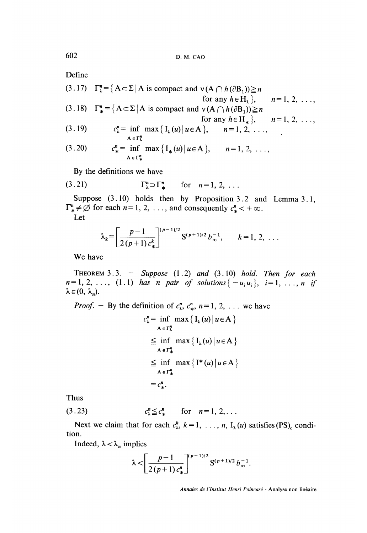Define

(3.17)  $\Gamma_{\lambda}^{n} = \{ A \subset \Sigma | A \text{ is compact and } v(A \cap h(\partial B_1)) \geq n \}$ for any  $h \in H_{\lambda}$ ,  $n = 1, 2, ...,$ (3.18)  $\Gamma_*^n = \{ A \subset \Sigma | A \text{ is compact and } v(A \cap h(\partial B_1)) \ge n \}$ for any  $h \in H_*$ ,  $n = 1, 2, ...,$  $c_{\lambda}^{n} = \inf \max \{ I_{\lambda}(u) | u \in A \}, \quad n = 1, 2, ...,$  $(3.19)$  $c_*^n = \inf_{A \in \Gamma^n_*} \max \{ I_*(u) | u \in A \}, \qquad n = 1, 2, ...,$  $(3.20)$ 

By the definitions we have

$$
\Gamma_{\lambda}^{n} \supset \Gamma_{*}^{n} \quad \text{for} \quad n=1, 2, ...
$$

Suppose  $(3.10)$  holds then by Proposition 3.2 and Lemma 3.1,  $\Gamma^n_* \neq \emptyset$  for each  $n = 1, 2, \ldots$ , and consequently  $c^n_* < +\infty$ .

Let

$$
\lambda_k = \left[ \frac{p-1}{2(p+1) c_{\ast}^k} \right]^{(p-1)/2} S^{(p+1)/2} b_{\infty}^{-1}, \qquad k = 1, 2, \ldots
$$

We have

THEOREM 3.3.  $-$  Suppose (1.2) and (3.10) hold. Then for each  $n=1, 2, ..., (1.1)$  has n pair of solutions  $\{-u_i u_i\}$ ,  $i=1, ..., n$  if  $\lambda \in (0, \lambda_n)$ .

*Proof.* - By the definition of  $c_{\lambda}^{n}$ ,  $c_{\ast}^{n}$ ,  $n = 1, 2, \ldots$  we have

$$
c_{\lambda}^{n} = \inf_{A \in \Gamma_{\lambda}^{n}} \max \{ I_{\lambda}(u) | u \in A \}
$$
  
\n
$$
\leq \inf_{A \in \Gamma_{\lambda}^{n}} \max \{ I_{\lambda}(u) | u \in A \}
$$
  
\n
$$
\leq \inf_{A \in \Gamma_{\lambda}^{n}} \max \{ I^{*}(u) | u \in A \}
$$
  
\n
$$
= c_{*}^{n}.
$$

Thus

(3.23) 
$$
c^n_{\lambda} \leq c^n_{\ast}
$$
 for  $n=1, 2, ...$ 

Next we claim that for each  $c_{\lambda}^{k}$ ,  $k = 1, \ldots, n$ ,  $I_{\lambda}(u)$  satisfies (PS)<sub>c</sub> condition.

Indeed,  $\lambda < \lambda_n$  implies

$$
\lambda < \left[ \frac{p-1}{2(p+1)c_{\ast}^n} \right]^{(p-1)/2} {\bf S}^{(p+1)/2} \, b_{\infty}^{-1}.
$$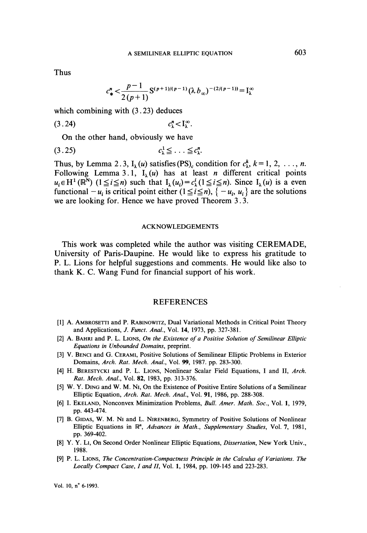Thus

$$
c_*^n < \frac{p-1}{2(p+1)} S^{(p+1)/(p-1)} (\lambda b_\infty)^{-(2/(p-1))} = I_\lambda^\infty
$$

which combining with  $(3.23)$  deduces

 $(3.24)$  $c_1^n$   $\lt$   $\mathrm{I}_1^\infty$ .

On the other hand, obviously we have

$$
(3.25) \t\t\t c_{\lambda}^1 \leq \ldots \leq c_{\lambda}^n
$$

Thus, by Lemma 2.3,  $I_1(u)$  satisfies (PS)<sub>c</sub> condition for  $c_1^k$ ,  $k = 1, 2, \ldots, n$ . Following Lemma 3.1,  $I_1(u)$  has at least *n* different critical points  $u_i \in H^1(\mathbb{R}^N)$   $(1 \le i \le n)$  such that  $I_i(u_i) = c_i^i (1 \le i \le n)$ . Since  $I_i(u)$  is a even functional  $-u_i$  is critical point either  $(1 \le i \le n)$ ,  $\{-u_i, u_i\}$  are the solutions we are looking for. Hence we have proved Theorem 3.3.

### ACKNOWLEDGEMENTS

This work was completed while the author was visiting CEREMADE, University of Paris-Daupine. He would like to express his gratitude to P. L. Lions for helpful suggestions and comments. He would like also to thank K. C. Wang Fund for financial support of his work.

### REFERENCES

- [1] A. AMBROSETTI and P. RABINOWITZ, Dual Variational Methods in Critical Point Theory and Applications, J. Funct. Anal., Vol. 14, 1973, pp. 327-381.
- [2] A. BAHRI and P. L. LIONS, On the Existence of a Positive Solution of Semilinear Elliptic Equations in Unbounded Domains, preprint.
- [3] V. BENCI and G. CERAMI, Positive Solutions of Semilinear Elliptic Problems in Exterior Domains, Arch. Rat. Mech. Anal., Vol. 99, 1987. pp. 283-300.
- [4] H. BERESTYCKI and P. L. LIONS, Nonlinear Scalar Field Equations, I and II, Arch. Rat. Mech. Anal., Vol. 82, 1983, pp. 313-376.
- [5] W. Y. DING and W. M. NI, On the Existence of Positive Entire Solutions of a Semilinear Elliptic Equation, Arch. Rat. Mech. Anal., Vol. 91, 1986, pp. 288-308.
- [6] I. EKELAND, Nonconvex Minimization Problems, Bull. Amer. Math. Soc., Vol. 1, 1979, pp. 443-474.
- [7] B. GIDAS, W. M. NI and L. NIRENBERG, Symmetry of Positive Solutions of Nonlinear Elliptic Equations in R<sup>n</sup>, Advances in Math., Supplementary Studies, Vol. 7, 1981, pp. 369-402.
- [8] Y. Y. Li, On Second Order Nonlinear Elliptic Equations, *Dissertation*, New York Univ., 1988.
- [9] P. L. LIONS, The Concentration-Compactness Principle in the Calculus of Variations. The Locally Compact Case, I and II, Vol. 1, 1984, pp. 109-145 and 223-283.